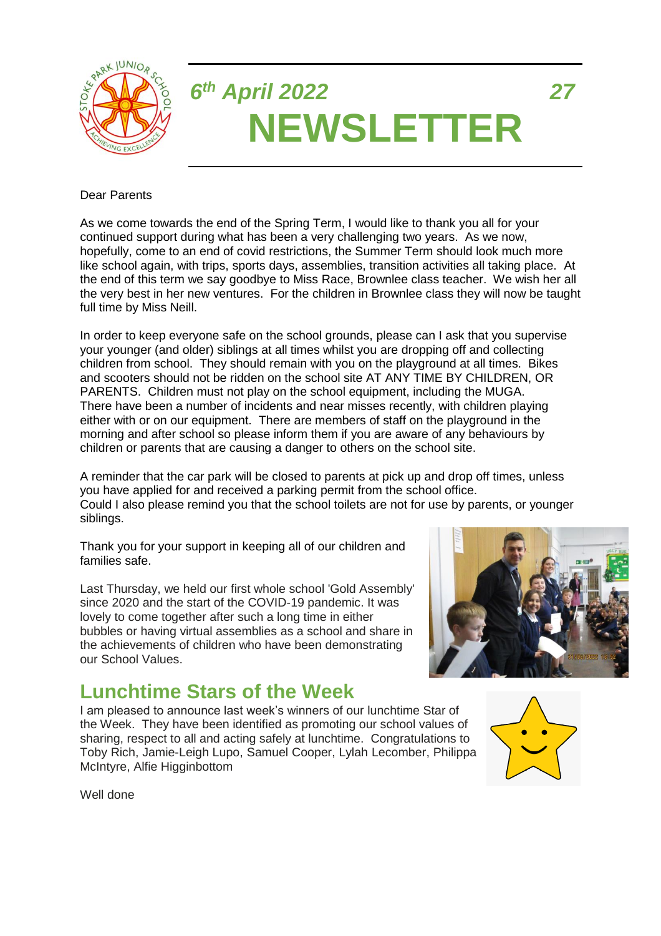

# *6 th April 2022 27* **NEWSLETTER**

#### Dear Parents

As we come towards the end of the Spring Term, I would like to thank you all for your continued support during what has been a very challenging two years. As we now, hopefully, come to an end of covid restrictions, the Summer Term should look much more like school again, with trips, sports days, assemblies, transition activities all taking place. At the end of this term we say goodbye to Miss Race, Brownlee class teacher. We wish her all the very best in her new ventures. For the children in Brownlee class they will now be taught full time by Miss Neill.

In order to keep everyone safe on the school grounds, please can I ask that you supervise your younger (and older) siblings at all times whilst you are dropping off and collecting children from school. They should remain with you on the playground at all times. Bikes and scooters should not be ridden on the school site AT ANY TIME BY CHILDREN, OR PARENTS. Children must not play on the school equipment, including the MUGA. There have been a number of incidents and near misses recently, with children playing either with or on our equipment. There are members of staff on the playground in the morning and after school so please inform them if you are aware of any behaviours by children or parents that are causing a danger to others on the school site.

A reminder that the car park will be closed to parents at pick up and drop off times, unless you have applied for and received a parking permit from the school office. Could I also please remind you that the school toilets are not for use by parents, or younger siblings.

Thank you for your support in keeping all of our children and families safe.

Last Thursday, we held our first whole school 'Gold Assembly' since 2020 and the start of the COVID-19 pandemic. It was lovely to come together after such a long time in either bubbles or having virtual assemblies as a school and share in the achievements of children who have been demonstrating our School Values.

#### **Lunchtime Stars of the Week**

I am pleased to announce last week's winners of our lunchtime Star of the Week. They have been identified as promoting our school values of sharing, respect to all and acting safely at lunchtime. Congratulations to Toby Rich, Jamie-Leigh Lupo, Samuel Cooper, Lylah Lecomber, Philippa McIntyre, Alfie Higginbottom





Well done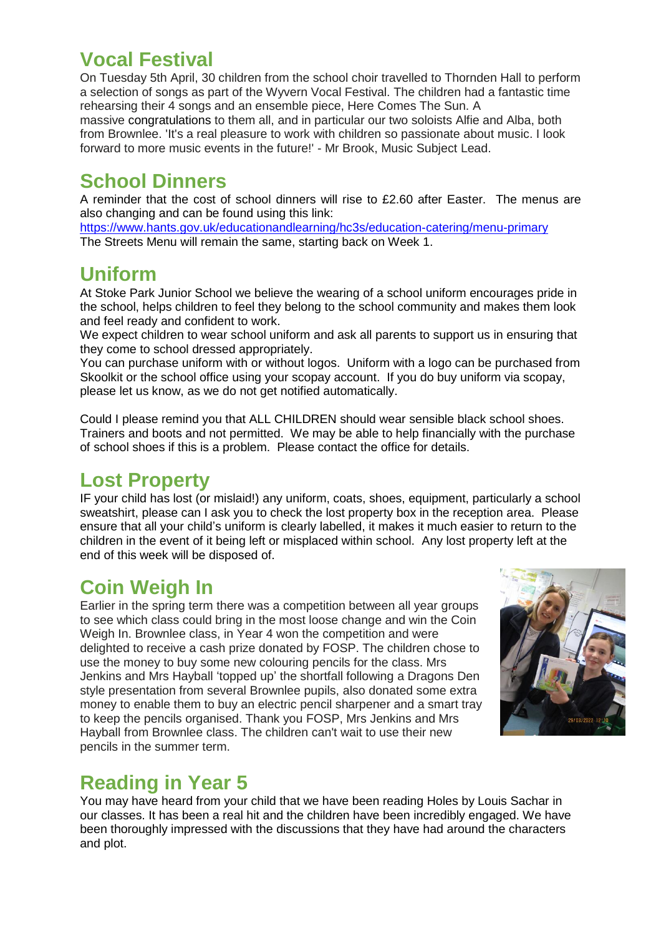#### **Vocal Festival**

On Tuesday 5th April, 30 children from the school choir travelled to Thornden Hall to perform a selection of songs as part of the Wyvern Vocal Festival. The children had a fantastic time rehearsing their 4 songs and an ensemble piece, Here Comes The Sun. A

massive congratulations to them all, and in particular our two soloists Alfie and Alba, both from Brownlee. 'It's a real pleasure to work with children so passionate about music. I look forward to more music events in the future!' - Mr Brook, Music Subject Lead.

### **School Dinners**

A reminder that the cost of school dinners will rise to £2.60 after Easter. The menus are also changing and can be found using this link:

<https://www.hants.gov.uk/educationandlearning/hc3s/education-catering/menu-primary> The Streets Menu will remain the same, starting back on Week 1.

### **Uniform**

At Stoke Park Junior School we believe the wearing of a school uniform encourages pride in the school, helps children to feel they belong to the school community and makes them look and feel ready and confident to work.

We expect children to wear school uniform and ask all parents to support us in ensuring that they come to school dressed appropriately.

You can purchase uniform with or without logos. Uniform with a logo can be purchased from Skoolkit or the school office using your scopay account. If you do buy uniform via scopay, please let us know, as we do not get notified automatically.

Could I please remind you that ALL CHILDREN should wear sensible black school shoes. Trainers and boots and not permitted. We may be able to help financially with the purchase of school shoes if this is a problem. Please contact the office for details.

### **Lost Property**

IF your child has lost (or mislaid!) any uniform, coats, shoes, equipment, particularly a school sweatshirt, please can I ask you to check the lost property box in the reception area. Please ensure that all your child's uniform is clearly labelled, it makes it much easier to return to the children in the event of it being left or misplaced within school. Any lost property left at the end of this week will be disposed of.

## **Coin Weigh In**

Earlier in the spring term there was a competition between all year groups to see which class could bring in the most loose change and win the Coin Weigh In. Brownlee class, in Year 4 won the competition and were delighted to receive a cash prize donated by FOSP. The children chose to use the money to buy some new colouring pencils for the class. Mrs Jenkins and Mrs Hayball 'topped up' the shortfall following a Dragons Den style presentation from several Brownlee pupils, also donated some extra money to enable them to buy an electric pencil sharpener and a smart tray to keep the pencils organised. Thank you FOSP, Mrs Jenkins and Mrs Hayball from Brownlee class. The children can't wait to use their new pencils in the summer term.



### **Reading in Year 5**

You may have heard from your child that we have been reading Holes by Louis Sachar in our classes. It has been a real hit and the children have been incredibly engaged. We have been thoroughly impressed with the discussions that they have had around the characters and plot.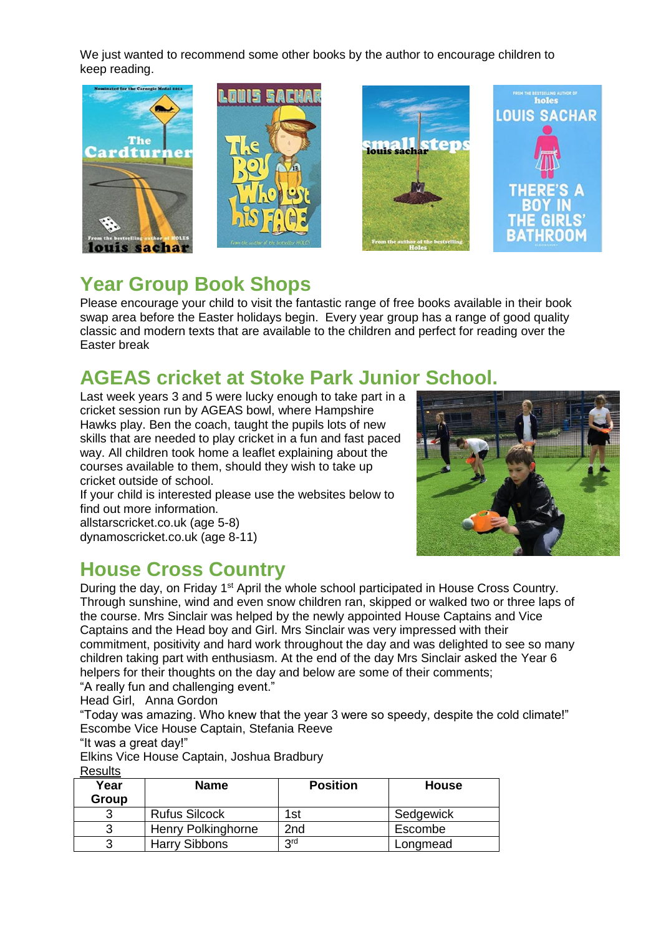We just wanted to recommend some other books by the author to encourage children to keep reading.



### **Year Group Book Shops**

Please encourage your child to visit the fantastic range of free books available in their book swap area before the Easter holidays begin. Every year group has a range of good quality classic and modern texts that are available to the children and perfect for reading over the Easter break

### **AGEAS cricket at Stoke Park Junior School.**

Last week years 3 and 5 were lucky enough to take part in a cricket session run by AGEAS bowl, where Hampshire Hawks play. Ben the coach, taught the pupils lots of new skills that are needed to play cricket in a fun and fast paced way. All children took home a leaflet explaining about the courses available to them, should they wish to take up cricket outside of school.

If your child is interested please use the websites below to find out more information. allstarscricket.co.uk (age 5-8)



#### **House Cross Country**

dynamoscricket.co.uk (age 8-11)

During the day, on Friday 1<sup>st</sup> April the whole school participated in House Cross Country. Through sunshine, wind and even snow children ran, skipped or walked two or three laps of the course. Mrs Sinclair was helped by the newly appointed House Captains and Vice Captains and the Head boy and Girl. Mrs Sinclair was very impressed with their commitment, positivity and hard work throughout the day and was delighted to see so many children taking part with enthusiasm. At the end of the day Mrs Sinclair asked the Year 6 helpers for their thoughts on the day and below are some of their comments;

"A really fun and challenging event."

Head Girl, Anna Gordon

"Today was amazing. Who knew that the year 3 were so speedy, despite the cold climate!" Escombe Vice House Captain, Stefania Reeve

"It was a great day!"

Elkins Vice House Captain, Joshua Bradbury **Posults** 

| Year<br>Group | <b>Name</b>          | <b>Position</b> | <b>House</b> |
|---------------|----------------------|-----------------|--------------|
|               | <b>Rufus Silcock</b> | 1st             | Sedgewick    |
| 3             | Henry Polkinghorne   | 2nd             | Escombe      |
|               | <b>Harry Sibbons</b> | 3 <sup>rd</sup> | Longmead     |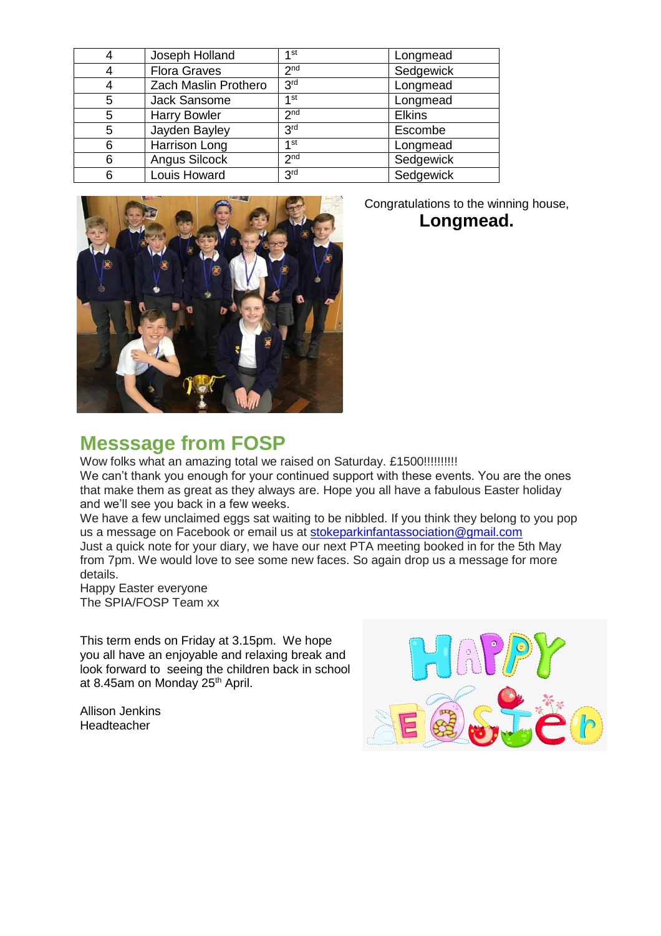| 4 | Joseph Holland       | 1st             | Longmead      |
|---|----------------------|-----------------|---------------|
| 4 | <b>Flora Graves</b>  | 2 <sub>nd</sub> | Sedgewick     |
| 4 | Zach Maslin Prothero | 3 <sup>rd</sup> | Longmead      |
| 5 | Jack Sansome         | 1st             | Longmead      |
| 5 | <b>Harry Bowler</b>  | 2 <sub>nd</sub> | <b>Elkins</b> |
| 5 | Jayden Bayley        | 3 <sup>rd</sup> | Escombe       |
| 6 | Harrison Long        | 1 <sub>st</sub> | Longmead      |
| 6 | Angus Silcock        | 2 <sub>nd</sub> | Sedgewick     |
| 6 | Louis Howard         | 3 <sup>rd</sup> | Sedgewick     |



Congratulations to the winning house, **Longmead.**

#### **Messsage from FOSP**

Wow folks what an amazing total we raised on Saturday. £1500!!!!!!!!!!! We can't thank you enough for your continued support with these events. You are the ones that make them as great as they always are. Hope you all have a fabulous Easter holiday and we'll see you back in a few weeks.

We have a few unclaimed eggs sat waiting to be nibbled. If you think they belong to you pop us a message on Facebook or email us at [stokeparkinfantassociation@gmail.com](mailto:stokeparkinfantassociation@gmail.com) Just a quick note for your diary, we have our next PTA meeting booked in for the 5th May from 7pm. We would love to see some new faces. So again drop us a message for more details.

Happy Easter everyone The SPIA/FOSP Team xx

This term ends on Friday at 3.15pm. We hope you all have an enjoyable and relaxing break and look forward to seeing the children back in school at 8.45am on Monday 25<sup>th</sup> April.

Allison Jenkins Headteacher

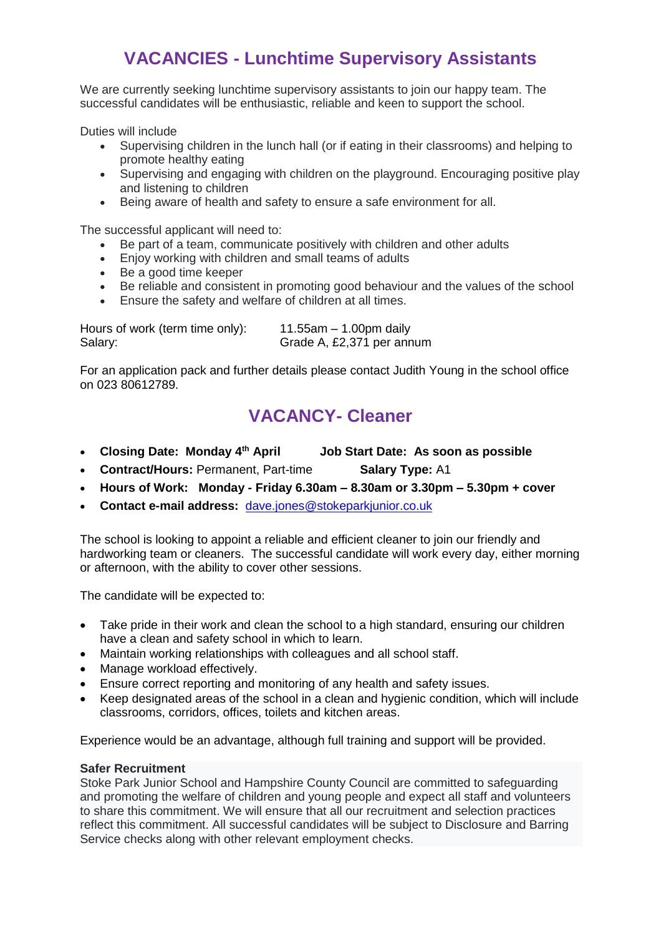#### **VACANCIES - Lunchtime Supervisory Assistants**

We are currently seeking lunchtime supervisory assistants to join our happy team. The successful candidates will be enthusiastic, reliable and keen to support the school.

Duties will include

- Supervising children in the lunch hall (or if eating in their classrooms) and helping to promote healthy eating
- Supervising and engaging with children on the playground. Encouraging positive play and listening to children
- Being aware of health and safety to ensure a safe environment for all.

The successful applicant will need to:

- Be part of a team, communicate positively with children and other adults
- Enjoy working with children and small teams of adults
- Be a good time keeper
- Be reliable and consistent in promoting good behaviour and the values of the school
- Ensure the safety and welfare of children at all times.

Hours of work (term time only): 11.55am – 1.00pm daily Salary: Grade A, £2,371 per annum

For an application pack and further details please contact Judith Young in the school office on 023 80612789.

#### **VACANCY- Cleaner**

- **Closing Date: Monday 4th April Job Start Date: As soon as possible**
- **Contract/Hours: Permanent, Part-time <b>Salary Type:** A1
- **Hours of Work: Monday - Friday 6.30am – 8.30am or 3.30pm – 5.30pm + cover**
- **Contact e-mail address:** [dave.jones@stokeparkjunior.co.uk](mailto:dave.jones@stokeparkjunior.co.uk)

The school is looking to appoint a reliable and efficient cleaner to join our friendly and hardworking team or cleaners. The successful candidate will work every day, either morning or afternoon, with the ability to cover other sessions.

The candidate will be expected to:

- Take pride in their work and clean the school to a high standard, ensuring our children have a clean and safety school in which to learn.
- Maintain working relationships with colleagues and all school staff.
- Manage workload effectively.
- Ensure correct reporting and monitoring of any health and safety issues.
- Keep designated areas of the school in a clean and hygienic condition, which will include classrooms, corridors, offices, toilets and kitchen areas.

Experience would be an advantage, although full training and support will be provided.

#### **Safer Recruitment**

Stoke Park Junior School and Hampshire County Council are committed to safeguarding and promoting the welfare of children and young people and expect all staff and volunteers to share this commitment. We will ensure that all our recruitment and selection practices reflect this commitment. All successful candidates will be subject to Disclosure and Barring Service checks along with other relevant employment checks.